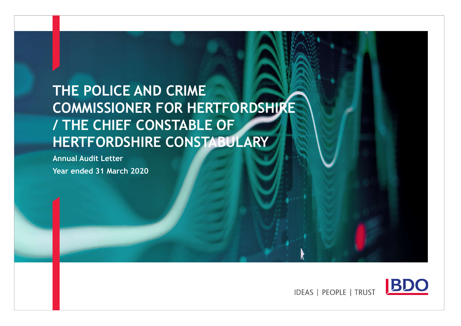# THE POLICE AND CRIME COMMISSIONER FOR HERTFORDSHIRE / THE CHIEF CONSTABLE OF HERTFORDSHIRE CONSTABULARY

Annual Audit Letter Year ended 31 March 2020



**IDEAS | PEOPLE | TRUST**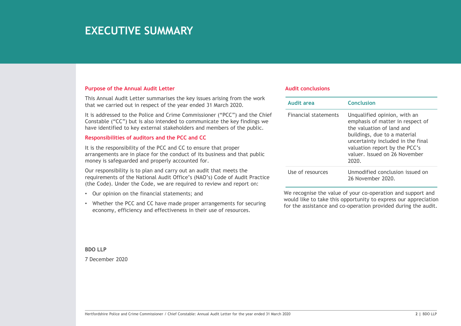### **EXECUTIVE SUMMARY**

### Purpose of the Annual Audit Letter

This Annual Audit Letter summarises the key issues arising from the work that we carried out in respect of the year ended 31 March 2020.

It is addressed to the Police and Crime Commissioner ("PCC") and the Chief Constable ("CC") but is also intended to communicate the key findings we have identified to key external stakeholders and members of the public.

### Responsibilities of auditors and the PCC and CC

It is the responsibility of the PCC and CC to ensure that proper arrangements are in place for the conduct of its business and that public money is safeguarded and properly accounted for.

Networking to the Crime Commissioner of the Mathematic and Crime Crime Crime Crime Crime Crime Crime Commissioner and Crime Crime Crime Computer of the Constant State (the Constant Crime Constant Crime Crime Commissioner a Our responsibility is to plan and carry out an audit that meets the requirements of the National Audit Office's (NAO's) Code of Audit Practice (the Code). Under the Code, we are required to review and report on: Constable ("CC") but is also intended to communicate the key findings we constable ("CC") but is also intended to communicate the key findings we have identified to key external stakeholders and members of the public. Resp

- Our opinion on the financial statements; and
- Whether the PCC and CC have made proper arrangements for securing economy, efficiency and effectiveness in their use of resources.

#### Audit conclusions

| <b>Audit conclusions</b>    |                                                                                                                                                                                                                                               |
|-----------------------------|-----------------------------------------------------------------------------------------------------------------------------------------------------------------------------------------------------------------------------------------------|
|                             |                                                                                                                                                                                                                                               |
| <b>Audit area</b>           | <b>Conclusion</b>                                                                                                                                                                                                                             |
| <b>Financial statements</b> | Unqualified opinion, with an<br>emphasis of matter in respect of<br>the valuation of land and<br>buildings, due to a material<br>uncertainty included in the final<br>valuation report by the PCC's<br>valuer. Issued on 26 November<br>2020. |

BDO LLP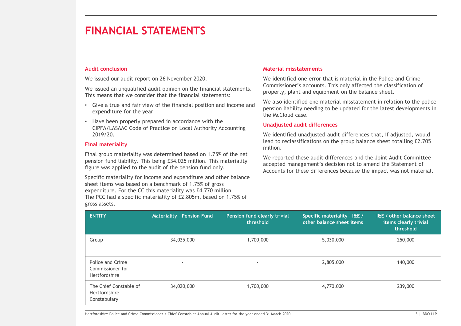#### Audit conclusion

- Give a true and fair view of the financial position and income and expenditure for the year
- Have been properly prepared in accordance with the CIPFA/LASAAC Code of Practice on Local Authority Accounting 2019/20.

#### Final materiality

#### Material misstatements

### Unadjusted audit differences

| Commissioner's accounts. This only affected the classification of<br>We issued an unqualified audit opinion on the financial statements.<br>property, plant and equipment on the balance sheet.<br>This means that we consider that the financial statements:<br>We also identified one material misstatement in relation to the police<br>Give a true and fair view of the financial position and income and<br>pension liability needing to be updated for the latest developments in<br>expenditure for the year<br>the McCloud case.<br>• Have been properly prepared in accordance with the<br><b>Unadjusted audit differences</b><br>CIPFA/LASAAC Code of Practice on Local Authority Accounting<br>2019/20.<br>We identified unadjusted audit differences that, if adjusted, would<br>lead to reclassifications on the group balance sheet totalling £2.705<br>million.<br>We reported these audit differences and the Joint Audit Committee<br>accepted management's decision not to amend the Statement of<br>Accounts for these differences because the impact was not material.<br><b>ENTITY</b><br><b>Materiality - Pension Fund</b><br>Pension fund clearly trivial<br>I&E / other balance sheet<br>Specific materiality - I&E /<br>other balance sheet items<br>threshold<br>items clearly trivial<br>threshold<br>34,025,000<br>5,030,000<br>1,700,000<br>250,000<br>Group<br>Police and Crime<br>2,805,000<br>140,000<br>Commissioner for<br>Hertfordshire<br>The Chief Constable of<br>34,020,000<br>1,700,000<br>4,770,000<br>239,000<br>Hertfordshire<br>Constabulary | We issued our audit report on 26 November 2020. |  | We identified one error that is material in the Police and Crime |  |
|------------------------------------------------------------------------------------------------------------------------------------------------------------------------------------------------------------------------------------------------------------------------------------------------------------------------------------------------------------------------------------------------------------------------------------------------------------------------------------------------------------------------------------------------------------------------------------------------------------------------------------------------------------------------------------------------------------------------------------------------------------------------------------------------------------------------------------------------------------------------------------------------------------------------------------------------------------------------------------------------------------------------------------------------------------------------------------------------------------------------------------------------------------------------------------------------------------------------------------------------------------------------------------------------------------------------------------------------------------------------------------------------------------------------------------------------------------------------------------------------------------------------------------------------------------------------------------------|-------------------------------------------------|--|------------------------------------------------------------------|--|
| <b>Final materiality</b><br>Final group materiality was determined based on 1.75% of the net<br>pension fund liability. This being £34.025 million. This materiality<br>Specific materiality for income and expenditure and other balance<br>sheet items was based on a benchmark of 1.75% of gross<br>expenditure. For the CC this materiality was £4.770 million.<br>The PCC had a specific materiality of £2.805m, based on 1.75% of                                                                                                                                                                                                                                                                                                                                                                                                                                                                                                                                                                                                                                                                                                                                                                                                                                                                                                                                                                                                                                                                                                                                                  |                                                 |  |                                                                  |  |
| figure was applied to the audit of the pension fund only.<br>gross assets.                                                                                                                                                                                                                                                                                                                                                                                                                                                                                                                                                                                                                                                                                                                                                                                                                                                                                                                                                                                                                                                                                                                                                                                                                                                                                                                                                                                                                                                                                                               |                                                 |  |                                                                  |  |
|                                                                                                                                                                                                                                                                                                                                                                                                                                                                                                                                                                                                                                                                                                                                                                                                                                                                                                                                                                                                                                                                                                                                                                                                                                                                                                                                                                                                                                                                                                                                                                                          |                                                 |  |                                                                  |  |
|                                                                                                                                                                                                                                                                                                                                                                                                                                                                                                                                                                                                                                                                                                                                                                                                                                                                                                                                                                                                                                                                                                                                                                                                                                                                                                                                                                                                                                                                                                                                                                                          |                                                 |  |                                                                  |  |
|                                                                                                                                                                                                                                                                                                                                                                                                                                                                                                                                                                                                                                                                                                                                                                                                                                                                                                                                                                                                                                                                                                                                                                                                                                                                                                                                                                                                                                                                                                                                                                                          |                                                 |  |                                                                  |  |
|                                                                                                                                                                                                                                                                                                                                                                                                                                                                                                                                                                                                                                                                                                                                                                                                                                                                                                                                                                                                                                                                                                                                                                                                                                                                                                                                                                                                                                                                                                                                                                                          |                                                 |  |                                                                  |  |
|                                                                                                                                                                                                                                                                                                                                                                                                                                                                                                                                                                                                                                                                                                                                                                                                                                                                                                                                                                                                                                                                                                                                                                                                                                                                                                                                                                                                                                                                                                                                                                                          |                                                 |  |                                                                  |  |
|                                                                                                                                                                                                                                                                                                                                                                                                                                                                                                                                                                                                                                                                                                                                                                                                                                                                                                                                                                                                                                                                                                                                                                                                                                                                                                                                                                                                                                                                                                                                                                                          |                                                 |  |                                                                  |  |
|                                                                                                                                                                                                                                                                                                                                                                                                                                                                                                                                                                                                                                                                                                                                                                                                                                                                                                                                                                                                                                                                                                                                                                                                                                                                                                                                                                                                                                                                                                                                                                                          |                                                 |  |                                                                  |  |
|                                                                                                                                                                                                                                                                                                                                                                                                                                                                                                                                                                                                                                                                                                                                                                                                                                                                                                                                                                                                                                                                                                                                                                                                                                                                                                                                                                                                                                                                                                                                                                                          |                                                 |  |                                                                  |  |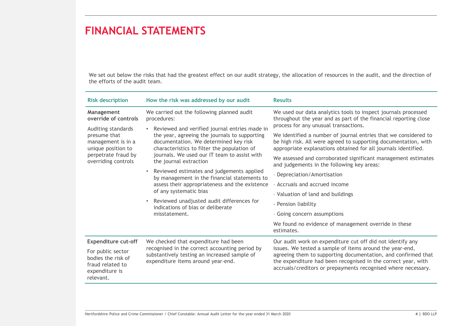|                                                                                            | <b>FINANCIAL STATEMENTS</b>                                                                                                                                                              |                                                                                                                                                                                                                                                             |
|--------------------------------------------------------------------------------------------|------------------------------------------------------------------------------------------------------------------------------------------------------------------------------------------|-------------------------------------------------------------------------------------------------------------------------------------------------------------------------------------------------------------------------------------------------------------|
|                                                                                            |                                                                                                                                                                                          |                                                                                                                                                                                                                                                             |
| the efforts of the audit team.                                                             |                                                                                                                                                                                          | We set out below the risks that had the greatest effect on our audit strategy, the allocation of resources in the audit, and the direction of                                                                                                               |
| <b>Risk description</b>                                                                    | How the risk was addressed by our audit                                                                                                                                                  | <b>Results</b>                                                                                                                                                                                                                                              |
| Management<br>override of controls                                                         | We carried out the following planned audit<br>procedures:                                                                                                                                | We used our data analytics tools to inspect journals processed<br>throughout the year and as part of the financial reporting close                                                                                                                          |
| Auditing standards<br>presume that<br>management is in a<br>unique position to             | • Reviewed and verified journal entries made in<br>the year, agreeing the journals to supporting<br>documentation. We determined key risk<br>characteristics to filter the population of | process for any unusual transactions.<br>We identified a number of journal entries that we considered to<br>be high risk. All were agreed to supporting documentation, with<br>appropriate explanations obtained for all journals identified.               |
| perpetrate fraud by<br>overriding controls                                                 | journals. We used our IT team to assist with<br>the journal extraction                                                                                                                   | We assessed and corroborated significant management estimates<br>and judgements in the following key areas:                                                                                                                                                 |
|                                                                                            | • Reviewed estimates and judgements applied<br>by management in the financial statements to                                                                                              | - Depreciation/Amortisation                                                                                                                                                                                                                                 |
|                                                                                            | assess their appropriateness and the existence<br>of any systematic bias<br>• Reviewed unadjusted audit differences for<br>indications of bias or deliberate<br>misstatement.            | - Accruals and accrued income                                                                                                                                                                                                                               |
|                                                                                            |                                                                                                                                                                                          | - Valuation of land and buildings                                                                                                                                                                                                                           |
|                                                                                            |                                                                                                                                                                                          | - Pension liability                                                                                                                                                                                                                                         |
|                                                                                            | - Going concern assumptions<br>We found no evidence of management override in these                                                                                                      |                                                                                                                                                                                                                                                             |
|                                                                                            |                                                                                                                                                                                          | estimates.                                                                                                                                                                                                                                                  |
| <b>Expenditure cut-off</b>                                                                 | We checked that expenditure had been                                                                                                                                                     | Our audit work on expenditure cut off did not identify any                                                                                                                                                                                                  |
| For public sector<br>bodies the risk of<br>fraud related to<br>expenditure is<br>relevant. | recognised in the correct accounting period by<br>substantively testing an increased sample of<br>expenditure items around year-end.                                                     | issues. We tested a sample of items around the year-end,<br>agreeing them to supporting documentation, and confirmed that<br>the expenditure had been recognised in the correct year, with<br>accruals/creditors or prepayments recognised where necessary. |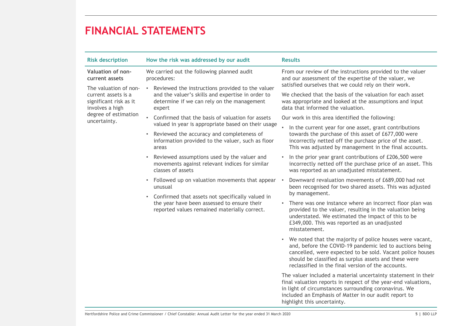|                                                                                                                                                                                                                                                                                                                                                                                                                | <b>FINANCIAL STATEMENTS</b>                                                                                                                               |                                                                                                                                                                                                                                                                                                   |
|----------------------------------------------------------------------------------------------------------------------------------------------------------------------------------------------------------------------------------------------------------------------------------------------------------------------------------------------------------------------------------------------------------------|-----------------------------------------------------------------------------------------------------------------------------------------------------------|---------------------------------------------------------------------------------------------------------------------------------------------------------------------------------------------------------------------------------------------------------------------------------------------------|
| <b>Risk description</b>                                                                                                                                                                                                                                                                                                                                                                                        | How the risk was addressed by our audit                                                                                                                   | <b>Results</b>                                                                                                                                                                                                                                                                                    |
| Valuation of non-<br>current assets                                                                                                                                                                                                                                                                                                                                                                            | We carried out the following planned audit<br>procedures:                                                                                                 | From our review of the instructions provided to the valuer<br>and our assessment of the expertise of the valuer, we<br>satisfied ourselves that we could rely on their work.                                                                                                                      |
| Reviewed the instructions provided to the valuer<br>The valuation of non-<br>and the valuer's skills and expertise in order to<br>current assets is a<br>significant risk as it<br>determine if we can rely on the management<br>involves a high<br>expert<br>degree of estimation<br>• Confirmed that the basis of valuation for assets<br>uncertainty.<br>valued in year is appropriate based on their usage | We checked that the basis of the valuation for each asset<br>was appropriate and looked at the assumptions and input<br>data that informed the valuation. |                                                                                                                                                                                                                                                                                                   |
|                                                                                                                                                                                                                                                                                                                                                                                                                | Our work in this area identified the following:                                                                                                           |                                                                                                                                                                                                                                                                                                   |
|                                                                                                                                                                                                                                                                                                                                                                                                                | • Reviewed the accuracy and completeness of<br>information provided to the valuer, such as floor<br>areas                                                 | • In the current year for one asset, grant contributions<br>towards the purchase of this asset of £677,000 were<br>incorrectly netted off the purchase price of the asset.<br>This was adjusted by management in the final accounts.                                                              |
|                                                                                                                                                                                                                                                                                                                                                                                                                | Reviewed assumptions used by the valuer and<br>movements against relevant indices for similar<br>classes of assets                                        | • In the prior year grant contributions of £206,500 were<br>incorrectly netted off the purchase price of an asset. This<br>was reported as an unadjusted misstatement.                                                                                                                            |
|                                                                                                                                                                                                                                                                                                                                                                                                                | • Followed up on valuation movements that appear •<br>unusual<br>• Confirmed that assets not specifically valued in                                       | Downward revaluation movements of £689,000 had not<br>been recognised for two shared assets. This was adjusted<br>by management.                                                                                                                                                                  |
|                                                                                                                                                                                                                                                                                                                                                                                                                | the year have been assessed to ensure their<br>reported values remained materially correct.                                                               | • There was one instance where an incorrect floor plan was<br>provided to the valuer, resulting in the valuation being<br>understated. We estimated the impact of this to be<br>£349,000. This was reported as an unadjusted<br>misstatement.                                                     |
|                                                                                                                                                                                                                                                                                                                                                                                                                |                                                                                                                                                           | • We noted that the majority of police houses were vacant,<br>and, before the COVID-19 pandemic led to auctions being<br>cancelled, were expected to be sold. Vacant police houses<br>should be classified as surplus assets and these were<br>reclassified in the final version of the accounts. |
|                                                                                                                                                                                                                                                                                                                                                                                                                |                                                                                                                                                           | The valuer included a material uncertainty statement in their<br>final valuation reports in respect of the year-end valuations,<br>in light of circumstances surrounding coronavirus. We<br>included an Emphasis of Matter in our audit report to<br>highlight this uncertainty.                  |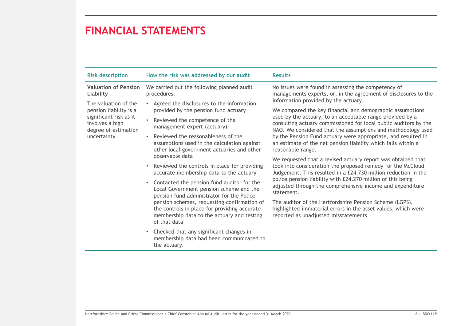| <b>Risk description</b>                                                                                                                                         | How the risk was addressed by our audit                                                                                                                                                                                                                                                                                          | <b>Results</b>                                                                                                                                                                                                                                                                                                                                                                                                               |
|-----------------------------------------------------------------------------------------------------------------------------------------------------------------|----------------------------------------------------------------------------------------------------------------------------------------------------------------------------------------------------------------------------------------------------------------------------------------------------------------------------------|------------------------------------------------------------------------------------------------------------------------------------------------------------------------------------------------------------------------------------------------------------------------------------------------------------------------------------------------------------------------------------------------------------------------------|
| <b>Valuation of Pension</b><br>Liability<br>The valuation of the<br>pension liability is a<br>significant risk as it<br>involves a high<br>degree of estimation | We carried out the following planned audit<br>procedures:<br>• Agreed the disclosures to the information<br>provided by the pension fund actuary<br>• Reviewed the competence of the<br>management expert (actuary)                                                                                                              | No issues were found in assessing the competency of<br>managements experts, or, in the agreement of disclosures to the<br>information provided by the actuary.<br>We compared the key financial and demographic assumptions<br>used by the actuary, to an acceptable range provided by a<br>consulting actuary commissioned for local public auditors by the<br>NAO. We considered that the assumptions and methodology used |
| uncertainty                                                                                                                                                     | • Reviewed the reasonableness of the<br>assumptions used in the calculation against<br>other local government actuaries and other<br>observable data                                                                                                                                                                             | by the Pension Fund actuary were appropriate, and resulted in<br>an estimate of the net pension liability which falls within a<br>reasonable range.<br>We requested that a revised actuary report was obtained that<br>took into consideration the proposed remedy for the McCloud                                                                                                                                           |
|                                                                                                                                                                 | • Reviewed the controls in place for providing<br>accurate membership data to the actuary<br>• Contacted the pension fund auditor for the<br>Local Government pension scheme and the<br>pension fund administrator for the Police<br>pension schemes, requesting confirmation of<br>the controls in place for providing accurate | Judgement. This resulted in a £24.730 million reduction in the<br>police pension liability with £24.270 million of this being<br>adjusted through the comprehensive income and expenditure<br>statement.<br>The auditor of the Hertfordshire Pension Scheme (LGPS),<br>highlighted immaterial errors in the asset values, which were                                                                                         |
| membership data to the actuary and testing<br>of that data                                                                                                      | reported as unadjusted misstatements.                                                                                                                                                                                                                                                                                            |                                                                                                                                                                                                                                                                                                                                                                                                                              |
|                                                                                                                                                                 | • Checked that any significant changes in<br>membership data had been communicated to<br>the actuary.                                                                                                                                                                                                                            |                                                                                                                                                                                                                                                                                                                                                                                                                              |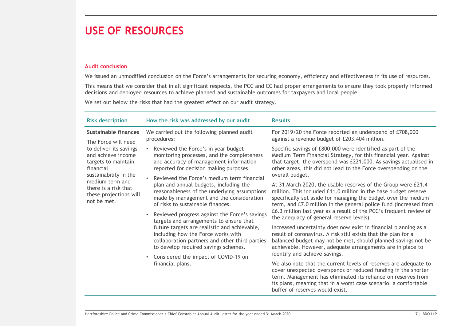### USE OF RESOURCES

### Audit conclusion

| <b>USE OF RESOURCES</b>                                                                                                                                                                                                                                                                                                                                                                                                                                                                                                                                                                                                                                                                                                                                                                                                                                                                                                                                            |                                                                                                                                                                                                                                                                                                                                                                                                                                                                                                                                                                                                                                                                                                                                                                                                                                                                                                                                                                                                                                                                                                                                                                                                                                                                       |
|--------------------------------------------------------------------------------------------------------------------------------------------------------------------------------------------------------------------------------------------------------------------------------------------------------------------------------------------------------------------------------------------------------------------------------------------------------------------------------------------------------------------------------------------------------------------------------------------------------------------------------------------------------------------------------------------------------------------------------------------------------------------------------------------------------------------------------------------------------------------------------------------------------------------------------------------------------------------|-----------------------------------------------------------------------------------------------------------------------------------------------------------------------------------------------------------------------------------------------------------------------------------------------------------------------------------------------------------------------------------------------------------------------------------------------------------------------------------------------------------------------------------------------------------------------------------------------------------------------------------------------------------------------------------------------------------------------------------------------------------------------------------------------------------------------------------------------------------------------------------------------------------------------------------------------------------------------------------------------------------------------------------------------------------------------------------------------------------------------------------------------------------------------------------------------------------------------------------------------------------------------|
| <b>Audit conclusion</b>                                                                                                                                                                                                                                                                                                                                                                                                                                                                                                                                                                                                                                                                                                                                                                                                                                                                                                                                            | We issued an unmodified conclusion on the Force's arrangements for securing economy, efficiency and effectiveness in its use of resources.<br>This means that we consider that in all significant respects, the PCC and CC had proper arrangements to ensure they took properly informed                                                                                                                                                                                                                                                                                                                                                                                                                                                                                                                                                                                                                                                                                                                                                                                                                                                                                                                                                                              |
| decisions and deployed resources to achieve planned and sustainable outcomes for taxpayers and local people.<br>We set out below the risks that had the greatest effect on our audit strategy.                                                                                                                                                                                                                                                                                                                                                                                                                                                                                                                                                                                                                                                                                                                                                                     |                                                                                                                                                                                                                                                                                                                                                                                                                                                                                                                                                                                                                                                                                                                                                                                                                                                                                                                                                                                                                                                                                                                                                                                                                                                                       |
| How the risk was addressed by our audit<br><b>Risk description</b>                                                                                                                                                                                                                                                                                                                                                                                                                                                                                                                                                                                                                                                                                                                                                                                                                                                                                                 | <b>Results</b>                                                                                                                                                                                                                                                                                                                                                                                                                                                                                                                                                                                                                                                                                                                                                                                                                                                                                                                                                                                                                                                                                                                                                                                                                                                        |
| <b>Sustainable finances</b><br>We carried out the following planned audit<br>procedures:                                                                                                                                                                                                                                                                                                                                                                                                                                                                                                                                                                                                                                                                                                                                                                                                                                                                           | For 2019/20 the Force reported an underspend of £708,000<br>against a revenue budget of £203.404 million.                                                                                                                                                                                                                                                                                                                                                                                                                                                                                                                                                                                                                                                                                                                                                                                                                                                                                                                                                                                                                                                                                                                                                             |
| The Force will need<br>to deliver its savings<br>• Reviewed the Force's in year budget<br>monitoring processes, and the completeness<br>and achieve income<br>and accuracy of management information<br>targets to maintain<br>reported for decision making purposes.<br>financial<br>sustainability in the<br>Reviewed the Force's medium term financial<br>medium term and<br>plan and annual budgets, including the<br>there is a risk that<br>reasonableness of the underlying assumptions<br>these projections will<br>made by management and the consideration<br>not be met.<br>of risks to sustainable finances.<br>Reviewed progress against the Force's savings<br>targets and arrangements to ensure that<br>future targets are realistic and achievable,<br>including how the Force works with<br>collaboration partners and other third parties<br>to develop required savings schemes.<br>• Considered the impact of COVID-19 on<br>financial plans. | Specific savings of £800,000 were identified as part of the<br>Medium Term Financial Strategy, for this financial year. Against<br>that target, the overspend was £221,000. As savings actualised in<br>other areas, this did not lead to the Force overspending on the<br>overall budget.<br>At 31 March 2020, the usable reserves of the Group were £21.4<br>million. This included £11.0 million in the base budget reserve<br>specifically set aside for managing the budget over the medium<br>term, and £7.0 million in the general police fund (increased from<br>£6.3 million last year as a result of the PCC's frequent review of<br>the adequacy of general reserve levels).<br>Increased uncertainty does now exist in financial planning as a<br>result of coronavirus. A risk still exists that the plan for a<br>balanced budget may not be met, should planned savings not be<br>achievable. However, adequate arrangements are in place to<br>identify and achieve savings.<br>We also note that the current levels of reserves are adequate to<br>cover unexpected overspends or reduced funding in the shorter<br>term. Management has eliminated its reliance on reserves from<br>its plans, meaning that in a worst case scenario, a comfortable |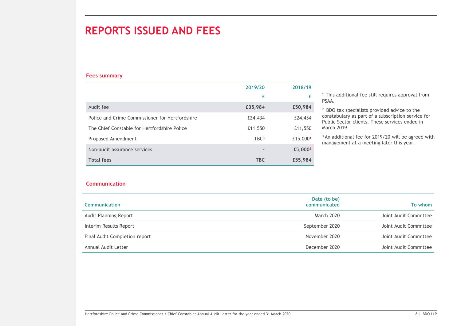### REPORTS ISSUED AND FEES

### Fees summary

| <b>REPORTS ISSUED AND FEES</b>                                                                  |                  |                     |                                                                        |
|-------------------------------------------------------------------------------------------------|------------------|---------------------|------------------------------------------------------------------------|
|                                                                                                 |                  |                     |                                                                        |
|                                                                                                 |                  |                     |                                                                        |
|                                                                                                 |                  |                     |                                                                        |
|                                                                                                 |                  |                     |                                                                        |
|                                                                                                 |                  |                     |                                                                        |
| <b>Fees summary</b>                                                                             |                  |                     |                                                                        |
|                                                                                                 | 2019/20          | 2018/19             |                                                                        |
|                                                                                                 | £                | £                   | <sup>1</sup> This additional fee still requires approval from<br>PSAA. |
| Audit fee                                                                                       | £35,984          | £50,984             | <sup>2</sup> BDO tax specialists provided advice to the                |
|                                                                                                 |                  | £24,434             | constabulary as part of a subscription service for                     |
|                                                                                                 | £24,434          |                     |                                                                        |
| Police and Crime Commissioner for Hertfordshire<br>The Chief Constable for Hertfordshire Police | £11,550          | £11,550             | Public Sector clients. These services ended in<br>March 2019           |
| Proposed Amendment                                                                              | TBC <sup>3</sup> | £15,0001            | <sup>3</sup> An additional fee for 2019/20 will be agreed with         |
| Non-audit assurance services                                                                    |                  | £5,000 <sup>2</sup> | management at a meeting later this year.                               |

#### Communication

| 2019/20<br>2018/19<br>£<br>£<br>PSAA.<br>Audit fee<br>£35,984<br>£50,984<br><sup>2</sup> BDO tax specialists provided advice to the<br>Police and Crime Commissioner for Hertfordshire<br>£24,434<br>£24,434<br>Public Sector clients. These services ended in<br>March 2019<br>The Chief Constable for Hertfordshire Police<br>£11,550<br>£11,550<br>TBC <sup>3</sup><br>£15,0001<br>Proposed Amendment<br>management at a meeting later this year.<br>Non-audit assurance services<br>£5,000 <sup>2</sup><br>$\overline{a}$<br><b>Total fees</b><br><b>TBC</b><br>£55,984 | <sup>1</sup> This additional fee still requires approval from<br>constabulary as part of a subscription service for<br><sup>3</sup> An additional fee for 2019/20 will be agreed with<br><b>Communication</b><br>Date (to be)<br><b>Communication</b><br>To whom<br>communicated<br>March 2020<br>September 2020<br>November 2020<br>December 2020 | <b>Fees summary</b>                                                                                                 |  |                       |
|-----------------------------------------------------------------------------------------------------------------------------------------------------------------------------------------------------------------------------------------------------------------------------------------------------------------------------------------------------------------------------------------------------------------------------------------------------------------------------------------------------------------------------------------------------------------------------|----------------------------------------------------------------------------------------------------------------------------------------------------------------------------------------------------------------------------------------------------------------------------------------------------------------------------------------------------|---------------------------------------------------------------------------------------------------------------------|--|-----------------------|
|                                                                                                                                                                                                                                                                                                                                                                                                                                                                                                                                                                             |                                                                                                                                                                                                                                                                                                                                                    |                                                                                                                     |  |                       |
|                                                                                                                                                                                                                                                                                                                                                                                                                                                                                                                                                                             |                                                                                                                                                                                                                                                                                                                                                    |                                                                                                                     |  |                       |
|                                                                                                                                                                                                                                                                                                                                                                                                                                                                                                                                                                             |                                                                                                                                                                                                                                                                                                                                                    |                                                                                                                     |  |                       |
|                                                                                                                                                                                                                                                                                                                                                                                                                                                                                                                                                                             |                                                                                                                                                                                                                                                                                                                                                    |                                                                                                                     |  |                       |
|                                                                                                                                                                                                                                                                                                                                                                                                                                                                                                                                                                             |                                                                                                                                                                                                                                                                                                                                                    |                                                                                                                     |  |                       |
|                                                                                                                                                                                                                                                                                                                                                                                                                                                                                                                                                                             |                                                                                                                                                                                                                                                                                                                                                    |                                                                                                                     |  |                       |
|                                                                                                                                                                                                                                                                                                                                                                                                                                                                                                                                                                             |                                                                                                                                                                                                                                                                                                                                                    |                                                                                                                     |  |                       |
|                                                                                                                                                                                                                                                                                                                                                                                                                                                                                                                                                                             |                                                                                                                                                                                                                                                                                                                                                    |                                                                                                                     |  |                       |
|                                                                                                                                                                                                                                                                                                                                                                                                                                                                                                                                                                             |                                                                                                                                                                                                                                                                                                                                                    |                                                                                                                     |  |                       |
|                                                                                                                                                                                                                                                                                                                                                                                                                                                                                                                                                                             |                                                                                                                                                                                                                                                                                                                                                    |                                                                                                                     |  |                       |
| Audit Planning Report                                                                                                                                                                                                                                                                                                                                                                                                                                                                                                                                                       |                                                                                                                                                                                                                                                                                                                                                    |                                                                                                                     |  | Joint Audit Committee |
| Interim Results Report                                                                                                                                                                                                                                                                                                                                                                                                                                                                                                                                                      |                                                                                                                                                                                                                                                                                                                                                    |                                                                                                                     |  | Joint Audit Committee |
| Final Audit Completion report                                                                                                                                                                                                                                                                                                                                                                                                                                                                                                                                               |                                                                                                                                                                                                                                                                                                                                                    |                                                                                                                     |  | Joint Audit Committee |
| Annual Audit Letter                                                                                                                                                                                                                                                                                                                                                                                                                                                                                                                                                         |                                                                                                                                                                                                                                                                                                                                                    |                                                                                                                     |  | Joint Audit Committee |
|                                                                                                                                                                                                                                                                                                                                                                                                                                                                                                                                                                             |                                                                                                                                                                                                                                                                                                                                                    | Hertfordshire Police and Crime Commissioner / Chief Constable: Annual Audit Letter for the year ended 31 March 2020 |  | 8   BDO LLP           |